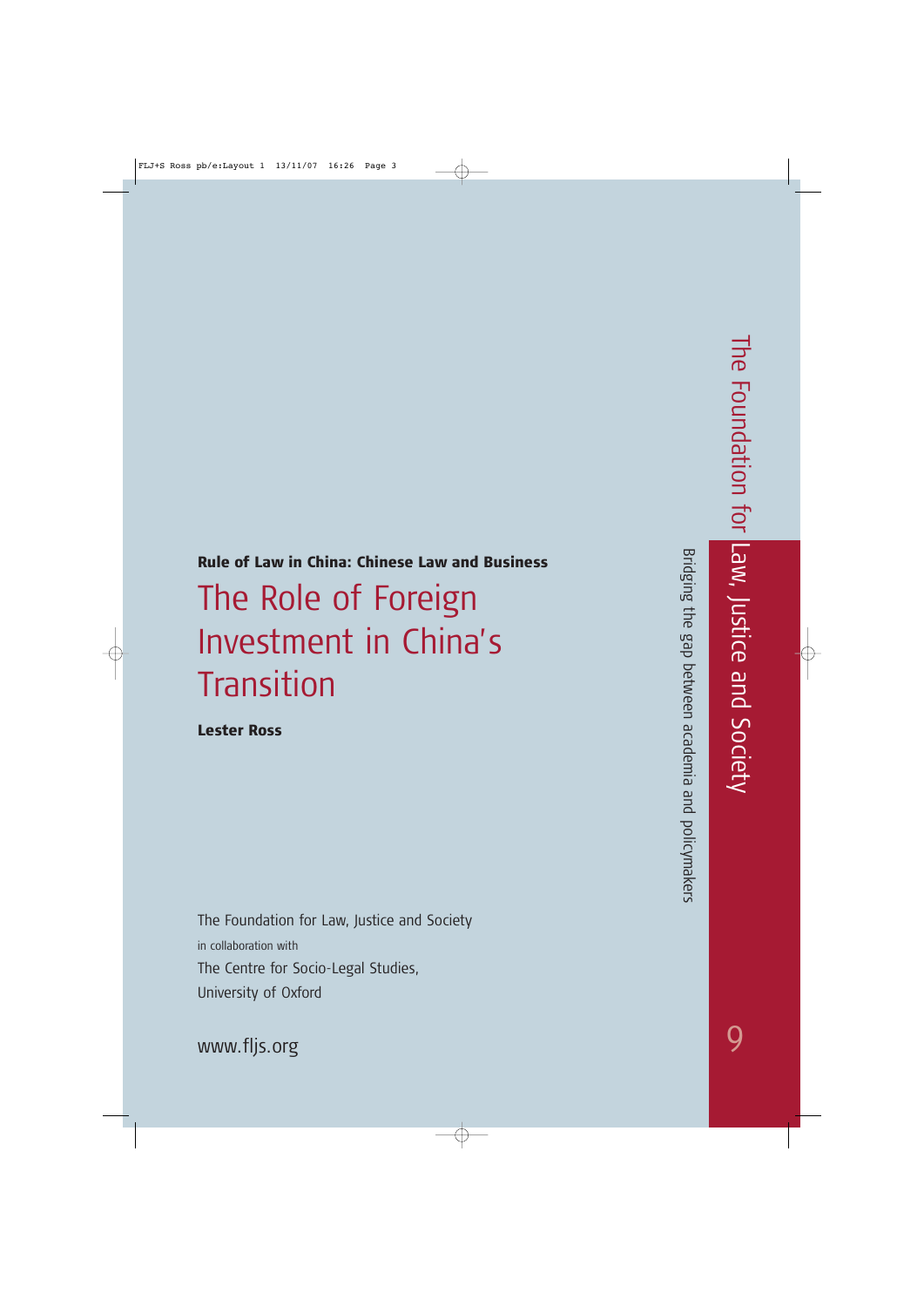# Rule of Law in China: Chinese Law and Business The Role of Foreign Investment in China's **Transition**

Lester Ross

The Foundation for Law, Justice and Society in collaboration with The Centre for Socio-Legal Studies, University of Oxford

Bridging the gap between academia and policymakers Bridging the gap between academia and policymakers

www.fljs.org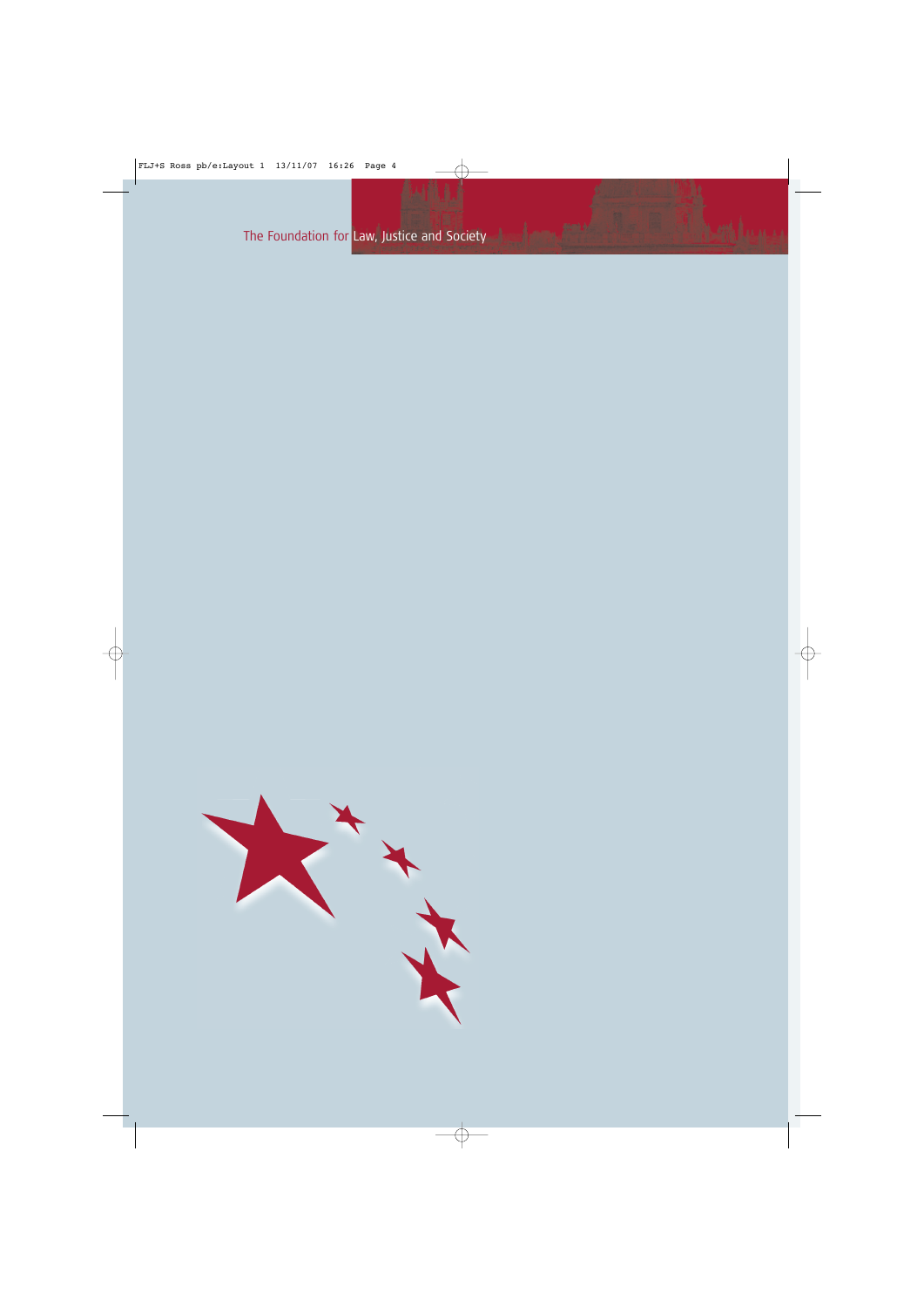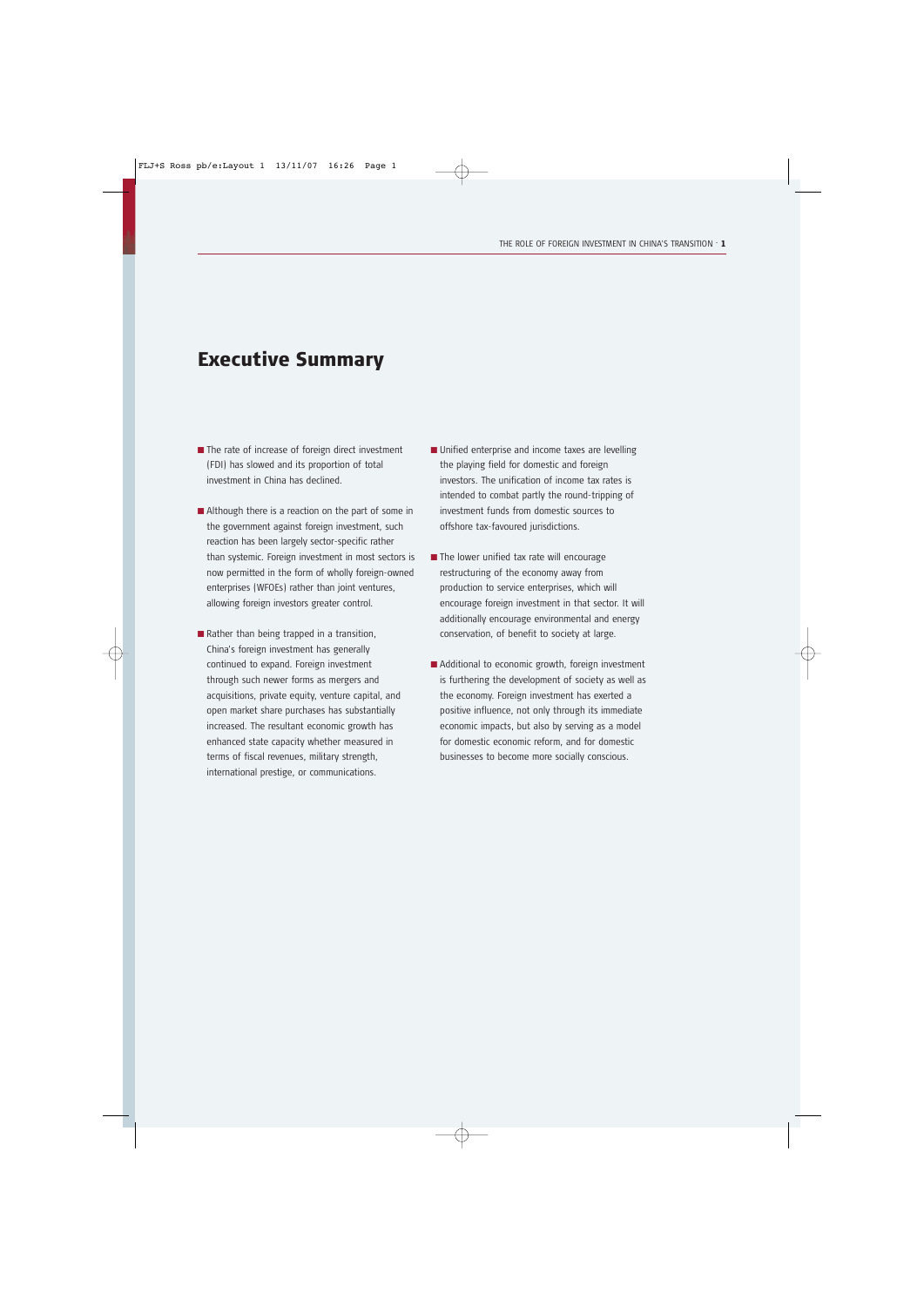# Executive Summary

- The rate of increase of foreign direct investment (FDI) has slowed and its proportion of total investment in China has declined.
- Although there is a reaction on the part of some in the government against foreign investment, such reaction has been largely sector-specific rather than systemic. Foreign investment in most sectors is now permitted in the form of wholly foreign-owned enterprises (WFOEs) rather than joint ventures, allowing foreign investors greater control.
- Rather than being trapped in a transition, China's foreign investment has generally continued to expand. Foreign investment through such newer forms as mergers and acquisitions, private equity, venture capital, and open market share purchases has substantially increased. The resultant economic growth has enhanced state capacity whether measured in terms of fiscal revenues, military strength, international prestige, or communications.
- Unified enterprise and income taxes are levelling the playing field for domestic and foreign investors. The unification of income tax rates is intended to combat partly the round-tripping of investment funds from domestic sources to offshore tax-favoured jurisdictions.
- The lower unified tax rate will encourage restructuring of the economy away from production to service enterprises, which will encourage foreign investment in that sector. It will additionally encourage environmental and energy conservation, of benefit to society at large.
- Additional to economic growth, foreign investment is furthering the development of society as well as the economy. Foreign investment has exerted a positive influence, not only through its immediate economic impacts, but also by serving as a model for domestic economic reform, and for domestic businesses to become more socially conscious.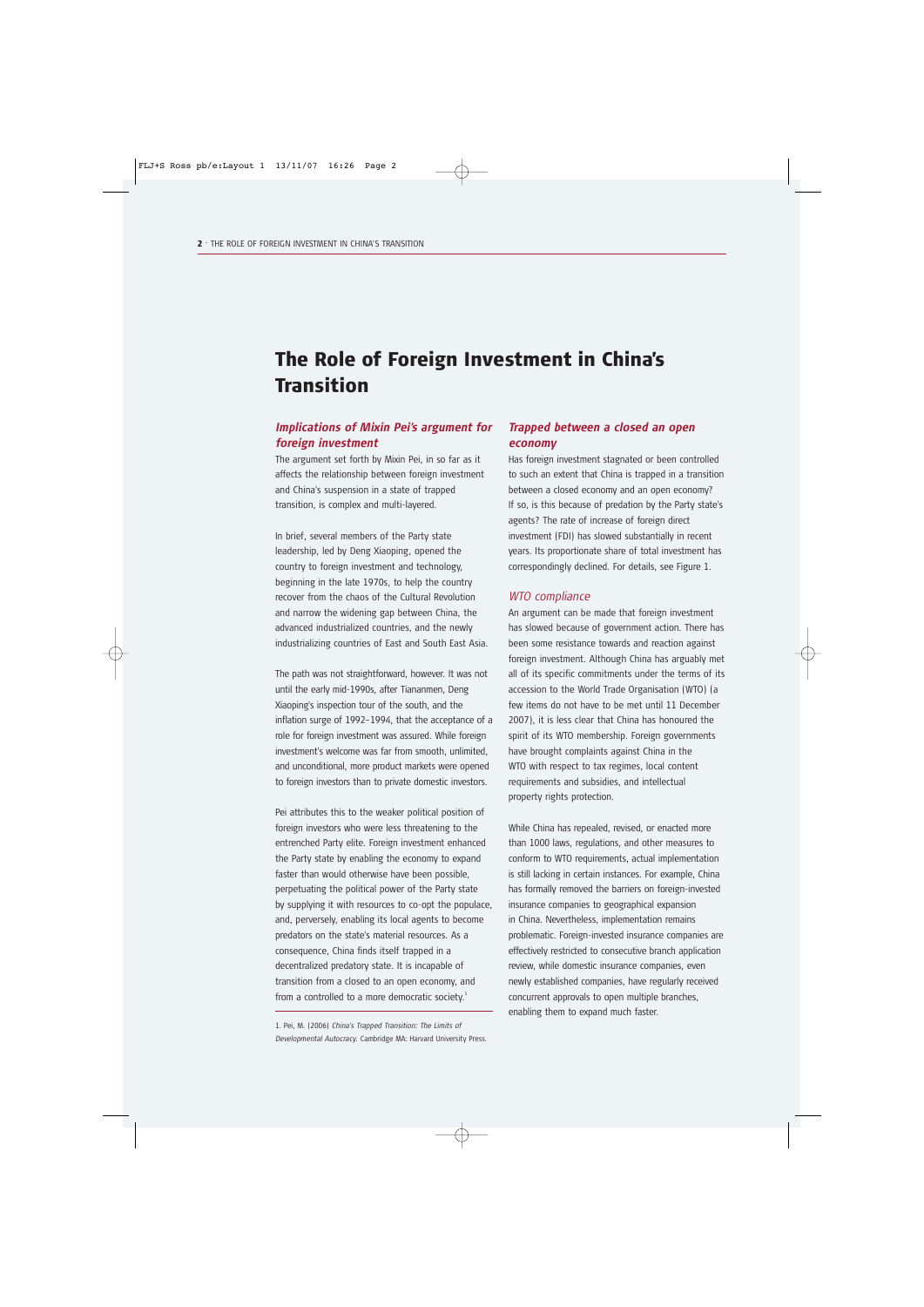# The Role of Foreign Investment in China's Transition

# *Implications of Mixin Pei's argument for foreign investment*

The argument set forth by Mixin Pei, in so far as it affects the relationship between foreign investment and China's suspension in a state of trapped transition, is complex and multi-layered.

In brief, several members of the Party state leadership, led by Deng Xiaoping, opened the country to foreign investment and technology, beginning in the late 1970s, to help the country recover from the chaos of the Cultural Revolution and narrow the widening gap between China, the advanced industrialized countries, and the newly industrializing countries of East and South East Asia.

The path was not straightforward, however. It was not until the early mid-1990s, after Tiananmen, Deng Xiaoping's inspection tour of the south, and the inflation surge of 1992–1994, that the acceptance of a role for foreign investment was assured. While foreign investment's welcome was far from smooth, unlimited, and unconditional, more product markets were opened to foreign investors than to private domestic investors.

Pei attributes this to the weaker political position of foreign investors who were less threatening to the entrenched Party elite. Foreign investment enhanced the Party state by enabling the economy to expand faster than would otherwise have been possible, perpetuating the political power of the Party state by supplying it with resources to co-opt the populace, and, perversely, enabling its local agents to become predators on the state's material resources. As a consequence, China finds itself trapped in a decentralized predatory state. It is incapable of transition from a closed to an open economy, and from a controlled to a more democratic society. $1$ 

1. Pei, M. (2006) *China's Trapped Transition: The Limits of Developmental Autocracy*. Cambridge MA: Harvard University Press.

# *Trapped between a closed an open economy*

Has foreign investment stagnated or been controlled to such an extent that China is trapped in a transition between a closed economy and an open economy? If so, is this because of predation by the Party state's agents? The rate of increase of foreign direct investment (FDI) has slowed substantially in recent years. Its proportionate share of total investment has correspondingly declined. For details, see Figure 1.

#### *WTO compliance*

An argument can be made that foreign investment has slowed because of government action. There has been some resistance towards and reaction against foreign investment. Although China has arguably met all of its specific commitments under the terms of its accession to the World Trade Organisation (WTO) (a few items do not have to be met until 11 December 2007), it is less clear that China has honoured the spirit of its WTO membership. Foreign governments have brought complaints against China in the WTO with respect to tax regimes, local content requirements and subsidies, and intellectual property rights protection.

While China has repealed, revised, or enacted more than 1000 laws, regulations, and other measures to conform to WTO requirements, actual implementation is still lacking in certain instances. For example, China has formally removed the barriers on foreign-invested insurance companies to geographical expansion in China. Nevertheless, implementation remains problematic. Foreign-invested insurance companies are effectively restricted to consecutive branch application review, while domestic insurance companies, even newly established companies, have regularly received concurrent approvals to open multiple branches, enabling them to expand much faster.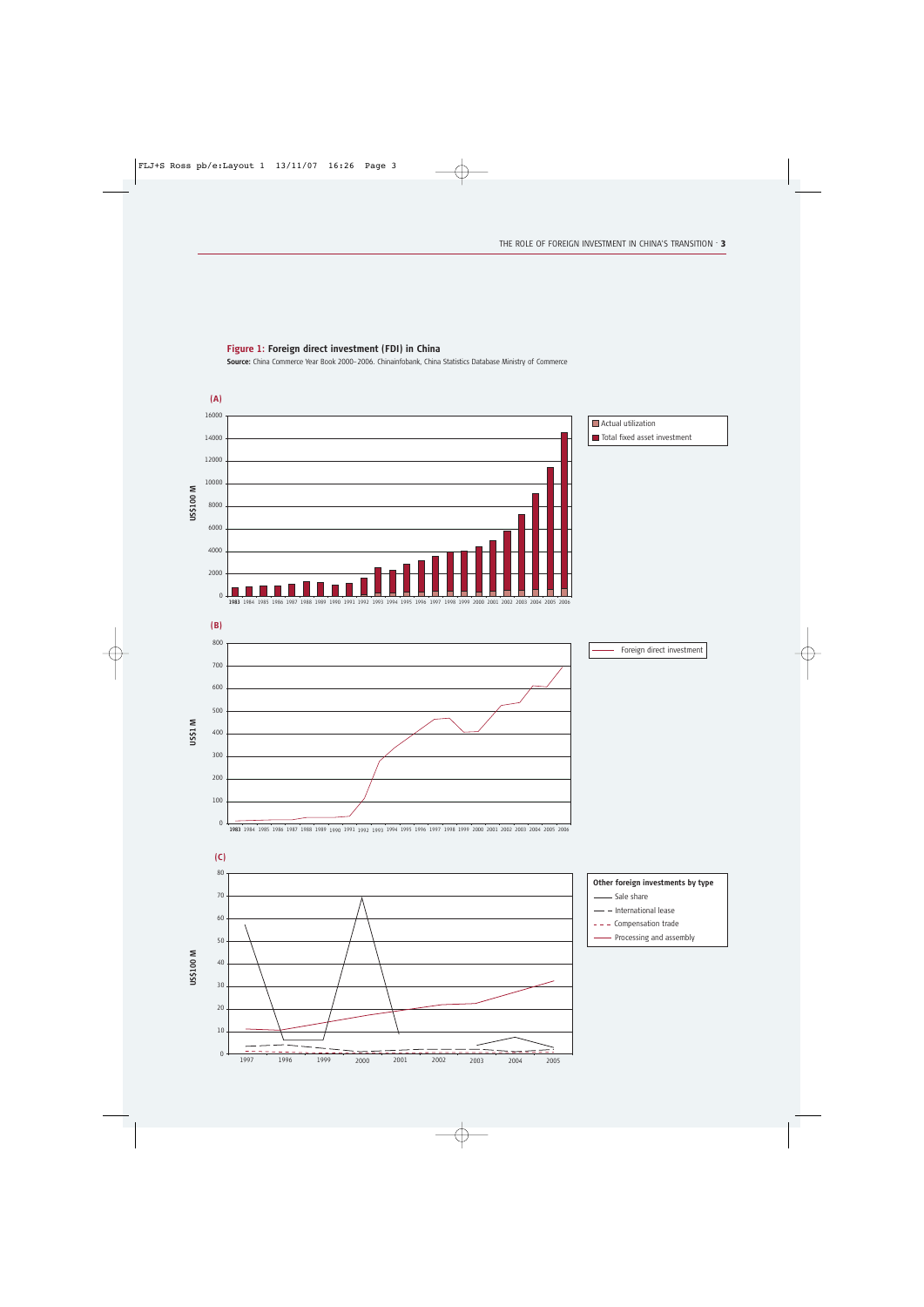

1997 1996 1999 2000 2001 2002 2003 2004 2005

#### **Figure 1: Foreign direct investment (FDI) in China**

 $\,$  0  $\,$ 

**Source:** China Commerce Year Book 2000–2006. Chinainfobank, China Statistics Database Ministry of Commerce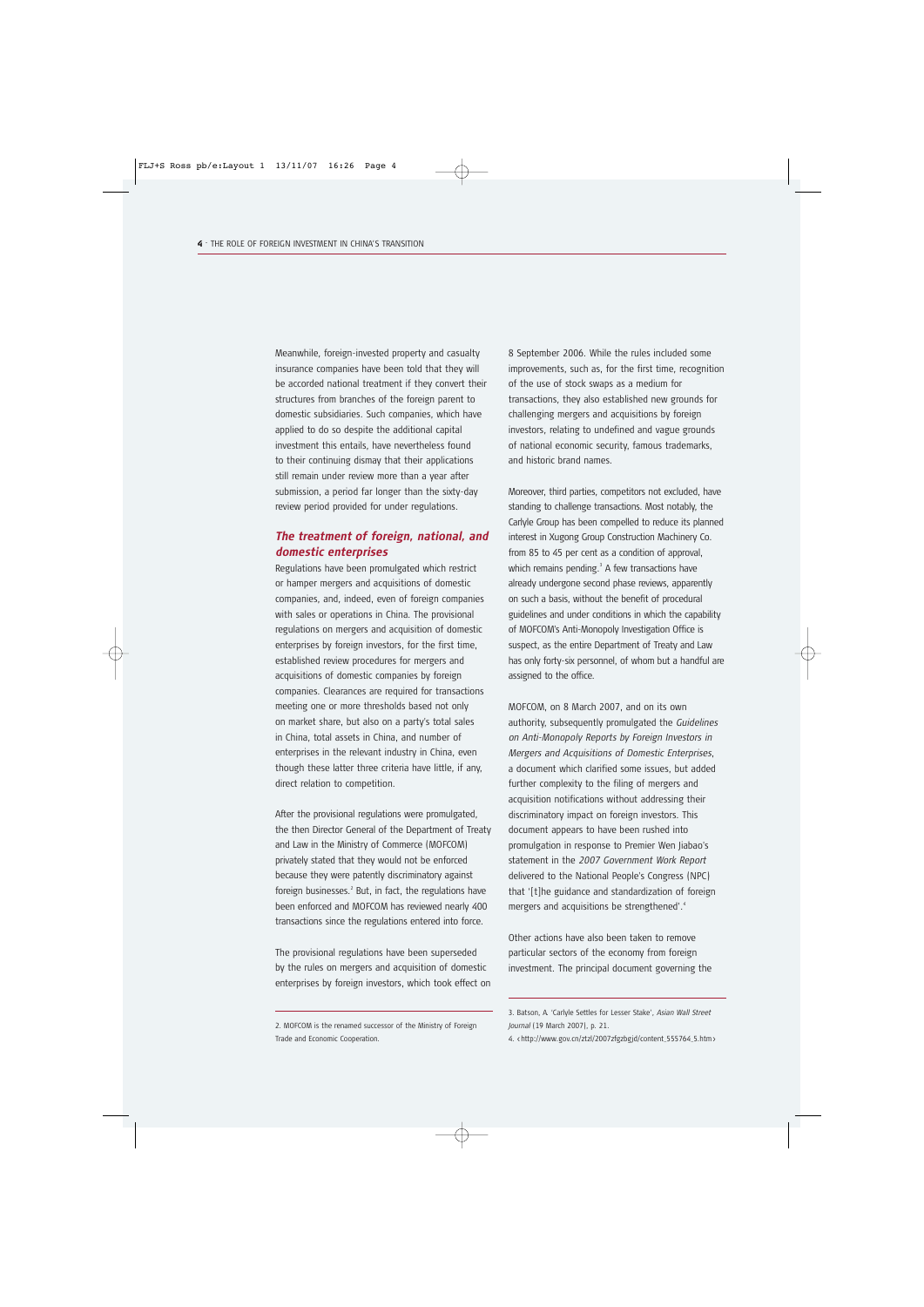Meanwhile, foreign-invested property and casualty insurance companies have been told that they will be accorded national treatment if they convert their structures from branches of the foreign parent to domestic subsidiaries. Such companies, which have applied to do so despite the additional capital investment this entails, have nevertheless found to their continuing dismay that their applications still remain under review more than a year after submission, a period far longer than the sixty-day review period provided for under regulations.

# *The treatment of foreign, national, and domestic enterprises*

Regulations have been promulgated which restrict or hamper mergers and acquisitions of domestic companies, and, indeed, even of foreign companies with sales or operations in China. The provisional regulations on mergers and acquisition of domestic enterprises by foreign investors, for the first time, established review procedures for mergers and acquisitions of domestic companies by foreign companies. Clearances are required for transactions meeting one or more thresholds based not only on market share, but also on a party's total sales in China, total assets in China, and number of enterprises in the relevant industry in China, even though these latter three criteria have little, if any, direct relation to competition.

After the provisional regulations were promulgated, the then Director General of the Department of Treaty and Law in the Ministry of Commerce (MOFCOM) privately stated that they would not be enforced because they were patently discriminatory against foreign businesses.<sup>2</sup> But, in fact, the regulations have been enforced and MOFCOM has reviewed nearly 400 transactions since the regulations entered into force.

The provisional regulations have been superseded by the rules on mergers and acquisition of domestic enterprises by foreign investors, which took effect on 8 September 2006. While the rules included some improvements, such as, for the first time, recognition of the use of stock swaps as a medium for transactions, they also established new grounds for challenging mergers and acquisitions by foreign investors, relating to undefined and vague grounds of national economic security, famous trademarks, and historic brand names.

Moreover, third parties, competitors not excluded, have standing to challenge transactions. Most notably, the Carlyle Group has been compelled to reduce its planned interest in Xugong Group Construction Machinery Co. from 85 to 45 per cent as a condition of approval, which remains pending. $3$  A few transactions have already undergone second phase reviews, apparently on such a basis, without the benefit of procedural guidelines and under conditions in which the capability of MOFCOM's Anti-Monopoly Investigation Office is suspect, as the entire Department of Treaty and Law has only forty-six personnel, of whom but a handful are assigned to the office.

MOFCOM, on 8 March 2007, and on its own authority, subsequently promulgated the *Guidelines on Anti-Monopoly Reports by Foreign Investors in Mergers and Acquisitions of Domestic Enterprises*, a document which clarified some issues, but added further complexity to the filing of mergers and acquisition notifications without addressing their discriminatory impact on foreign investors. This document appears to have been rushed into promulgation in response to Premier Wen Jiabao's statement in the *2007 Government Work Report* delivered to the National People's Congress (NPC) that '[t]he guidance and standardization of foreign mergers and acquisitions be strengthened'.<sup>4</sup>

Other actions have also been taken to remove particular sectors of the economy from foreign investment. The principal document governing the

<sup>2.</sup> MOFCOM is the renamed successor of the Ministry of Foreign Trade and Economic Cooperation.

<sup>3.</sup> Batson, A. 'Carlyle Settles for Lesser Stake', *Asian Wall Street Journal* (19 March 2007), p. 21.

<sup>4. &</sup>lt;http://www.gov.cn/ztzl/2007zfgzbgjd/content\_555764\_5.htm>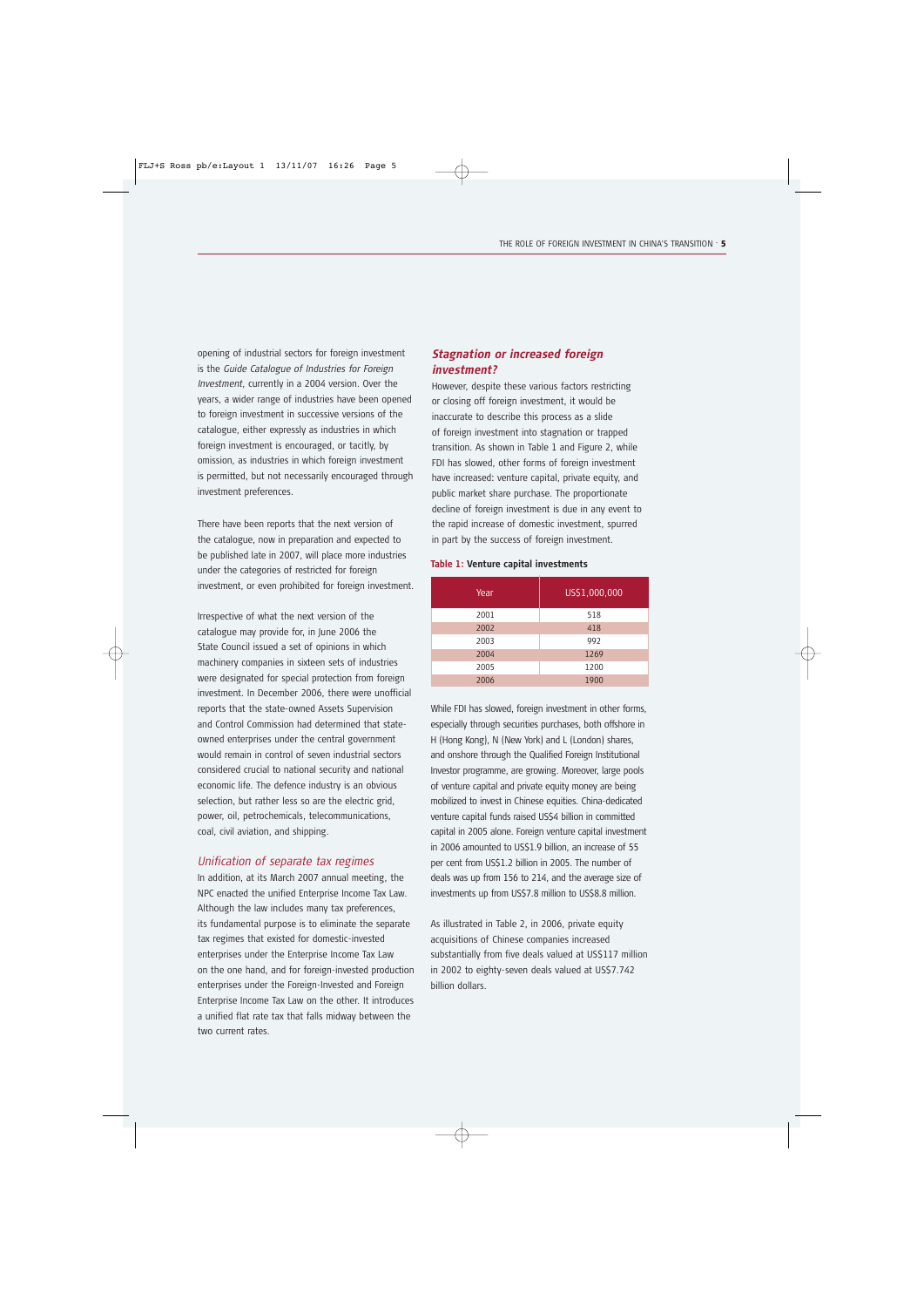opening of industrial sectors for foreign investment is the *Guide Catalogue of Industries for Foreign Investment*, currently in a 2004 version. Over the years, a wider range of industries have been opened to foreign investment in successive versions of the catalogue, either expressly as industries in which foreign investment is encouraged, or tacitly, by omission, as industries in which foreign investment is permitted, but not necessarily encouraged through investment preferences.

There have been reports that the next version of the catalogue, now in preparation and expected to be published late in 2007, will place more industries under the categories of restricted for foreign investment, or even prohibited for foreign investment.

Irrespective of what the next version of the catalogue may provide for, in June 2006 the State Council issued a set of opinions in which machinery companies in sixteen sets of industries were designated for special protection from foreign investment. In December 2006, there were unofficial reports that the state-owned Assets Supervision and Control Commission had determined that stateowned enterprises under the central government would remain in control of seven industrial sectors considered crucial to national security and national economic life. The defence industry is an obvious selection, but rather less so are the electric grid, power, oil, petrochemicals, telecommunications, coal, civil aviation, and shipping.

#### *Unification of separate tax regimes*

In addition, at its March 2007 annual meeting, the NPC enacted the unified Enterprise Income Tax Law. Although the law includes many tax preferences, its fundamental purpose is to eliminate the separate tax regimes that existed for domestic-invested enterprises under the Enterprise Income Tax Law on the one hand, and for foreign-invested production enterprises under the Foreign-Invested and Foreign Enterprise Income Tax Law on the other. It introduces a unified flat rate tax that falls midway between the two current rates.

#### *Stagnation or increased foreign investment?*

However, despite these various factors restricting or closing off foreign investment, it would be inaccurate to describe this process as a slide of foreign investment into stagnation or trapped transition. As shown in Table 1 and Figure 2, while FDI has slowed, other forms of foreign investment have increased: venture capital, private equity, and public market share purchase. The proportionate decline of foreign investment is due in any event to the rapid increase of domestic investment, spurred in part by the success of foreign investment.

#### **Table 1: Venture capital investments**

| Year | US\$1,000,000 |
|------|---------------|
| 2001 | 518           |
| 2002 | 418           |
| 2003 | 992           |
| 2004 | 1269          |
| 2005 | 1200          |
| 2006 | 1900          |

While FDI has slowed, foreign investment in other forms, especially through securities purchases, both offshore in H (Hong Kong), N (New York) and L (London) shares, and onshore through the Qualified Foreign Institutional Investor programme, are growing. Moreover, large pools of venture capital and private equity money are being mobilized to invest in Chinese equities. China-dedicated venture capital funds raised US\$4 billion in committed capital in 2005 alone. Foreign venture capital investment in 2006 amounted to US\$1.9 billion, an increase of 55 per cent from US\$1.2 billion in 2005. The number of deals was up from 156 to 214, and the average size of investments up from US\$7.8 million to US\$8.8 million.

As illustrated in Table 2, in 2006, private equity acquisitions of Chinese companies increased substantially from five deals valued at US\$117 million in 2002 to eighty-seven deals valued at US\$7.742 billion dollars.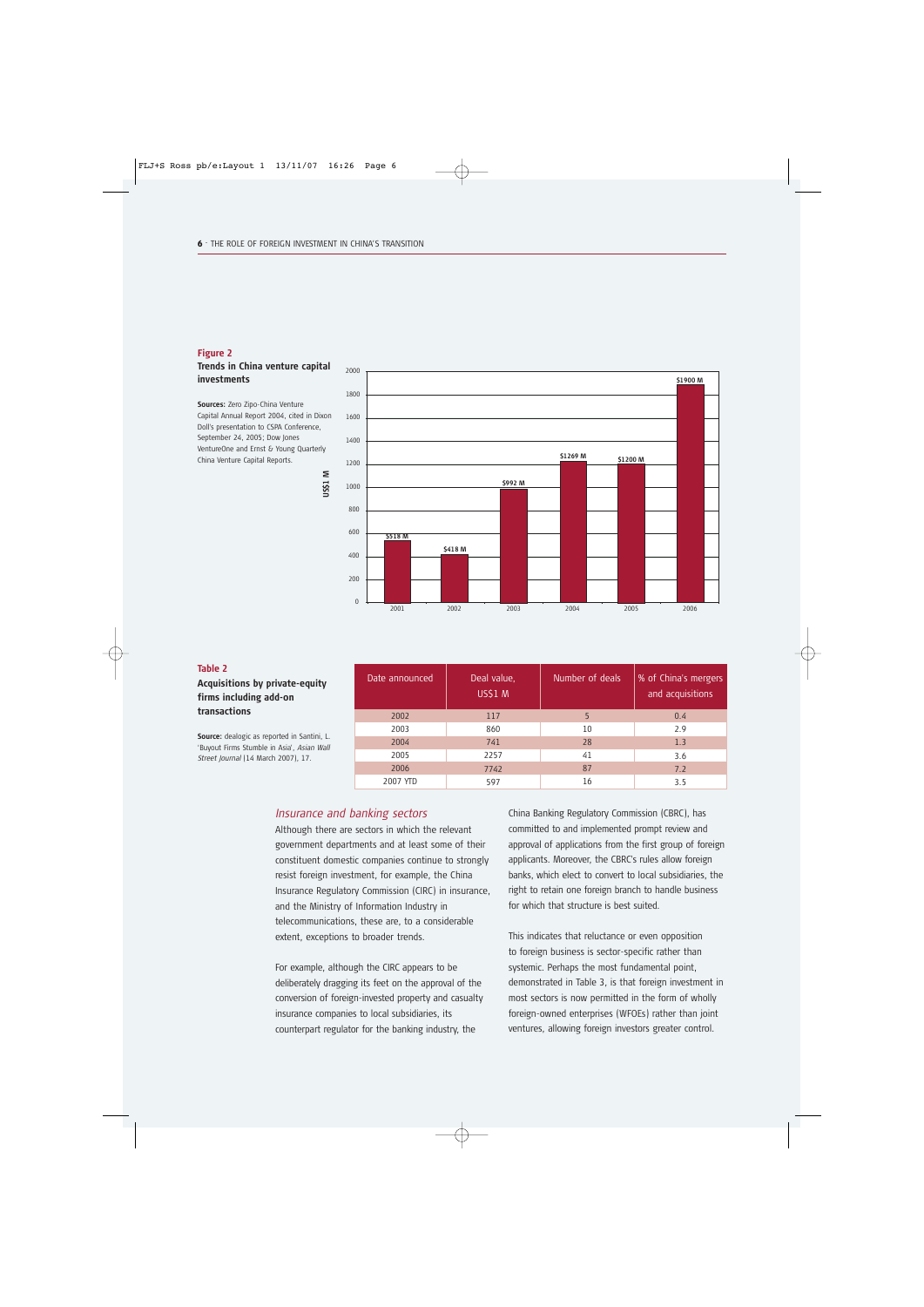**US\$1 M**

#### **Figure 2**

#### **Trends in China venture capital investments**

**Sources:** Zero Zipo-China Venture Capital Annual Report 2004, cited in Dixon Doll's presentation to CSPA Conference, September 24, 2005; Dow Jones VentureOne and Ernst & Young Quarterly China Venture Capital Reports.



#### **Table 2**

**Acquisitions by private-equity firms including add-on transactions**

**Source:** dealogic as reported in Santini, L. 'Buyout Firms Stumble in Asia', *Asian Wall Street Journal* (14 March 2007), 17.

| Date announced | Deal value,<br><b>US\$1 M</b> | Number of deals | % of China's mergers<br>and acquisitions |  |
|----------------|-------------------------------|-----------------|------------------------------------------|--|
| 2002           | 117                           | 5               | 0.4                                      |  |
| 2003           | 860                           | 10              | 2.9                                      |  |
| 2004           | 741                           | 28              | 1.3                                      |  |
| 2005           | 2257                          | 41              | 3.6                                      |  |
| 2006           | 7742                          | 87              | 7.2                                      |  |
| 2007 YTD       | 597                           | 16              | 3.5                                      |  |

#### *Insurance and banking sectors*

Although there are sectors in which the relevant government departments and at least some of their constituent domestic companies continue to strongly resist foreign investment, for example, the China Insurance Regulatory Commission (CIRC) in insurance, and the Ministry of Information Industry in telecommunications, these are, to a considerable extent, exceptions to broader trends.

For example, although the CIRC appears to be deliberately dragging its feet on the approval of the conversion of foreign-invested property and casualty insurance companies to local subsidiaries, its counterpart regulator for the banking industry, the

China Banking Regulatory Commission (CBRC), has committed to and implemented prompt review and approval of applications from the first group of foreign applicants. Moreover, the CBRC's rules allow foreign banks, which elect to convert to local subsidiaries, the right to retain one foreign branch to handle business for which that structure is best suited.

This indicates that reluctance or even opposition to foreign business is sector-specific rather than systemic. Perhaps the most fundamental point, demonstrated in Table 3, is that foreign investment in most sectors is now permitted in the form of wholly foreign-owned enterprises (WFOEs) rather than joint ventures, allowing foreign investors greater control.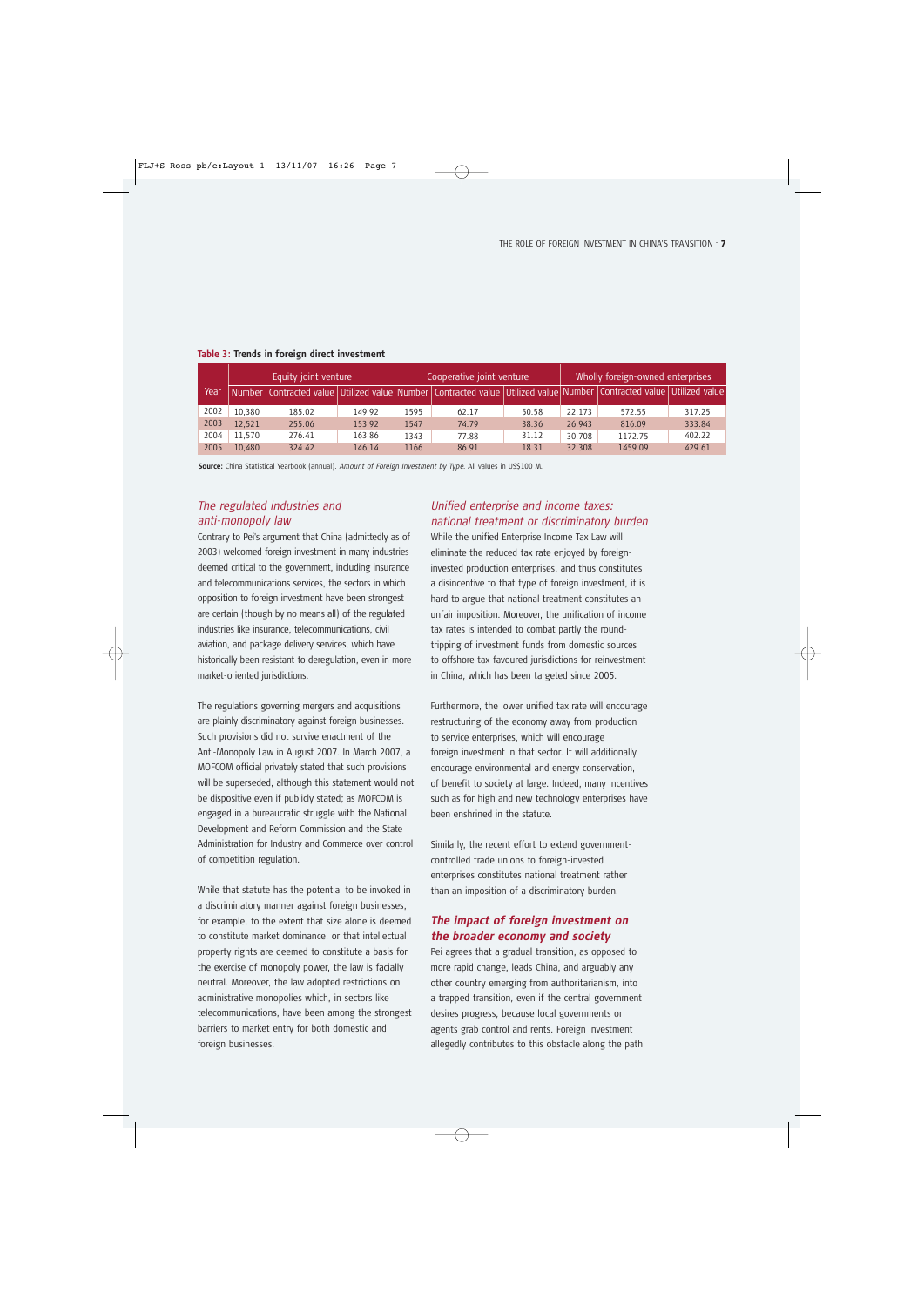|      | Equity joint venture |        |        | Cooperative joint venture |                                                                                                                                      | Wholly foreign-owned enterprises |        |         |        |
|------|----------------------|--------|--------|---------------------------|--------------------------------------------------------------------------------------------------------------------------------------|----------------------------------|--------|---------|--------|
| Year |                      |        |        |                           | Number   Contracted value   Utilized value   Number   Contracted value   Utilized value   Number   Contracted value   Utilized value |                                  |        |         |        |
| 2002 | 10.380               | 185.02 | 149.92 | 1595                      | 62.17                                                                                                                                | 50.58                            | 22.173 | 572.55  | 317.25 |
| 2003 | 12.521               | 255.06 | 153.92 | 1547                      | 74.79                                                                                                                                | 38.36                            | 26.943 | 816.09  | 333.84 |
| 2004 | 11.570               | 276.41 | 163.86 | 1343                      | 77.88                                                                                                                                | 31.12                            | 30.708 | 1172.75 | 402.22 |
| 2005 | 10.480               | 324.42 | 146.14 | 1166                      | 86.91                                                                                                                                | 18.31                            | 32.308 | 1459.09 | 429.61 |

#### **Table 3: Trends in foreign direct investment**

**Source:** China Statistical Yearbook (annual). *Amount of Foreign Investment by Type*. All values in US\$100 M.

# *The regulated industries and anti-monopoly law*

Contrary to Pei's argument that China (admittedly as of 2003) welcomed foreign investment in many industries deemed critical to the government, including insurance and telecommunications services, the sectors in which opposition to foreign investment have been strongest are certain (though by no means all) of the regulated industries like insurance, telecommunications, civil aviation, and package delivery services, which have historically been resistant to deregulation, even in more market-oriented jurisdictions.

The regulations governing mergers and acquisitions are plainly discriminatory against foreign businesses. Such provisions did not survive enactment of the Anti-Monopoly Law in August 2007. In March 2007, a MOFCOM official privately stated that such provisions will be superseded, although this statement would not be dispositive even if publicly stated; as MOFCOM is engaged in a bureaucratic struggle with the National Development and Reform Commission and the State Administration for Industry and Commerce over control of competition regulation.

While that statute has the potential to be invoked in a discriminatory manner against foreign businesses, for example, to the extent that size alone is deemed to constitute market dominance, or that intellectual property rights are deemed to constitute a basis for the exercise of monopoly power, the law is facially neutral. Moreover, the law adopted restrictions on administrative monopolies which, in sectors like telecommunications, have been among the strongest barriers to market entry for both domestic and foreign businesses.

# *Unified enterprise and income taxes: national treatment or discriminatory burden*

While the unified Enterprise Income Tax Law will eliminate the reduced tax rate enjoyed by foreigninvested production enterprises, and thus constitutes a disincentive to that type of foreign investment, it is hard to argue that national treatment constitutes an unfair imposition. Moreover, the unification of income tax rates is intended to combat partly the roundtripping of investment funds from domestic sources to offshore tax-favoured jurisdictions for reinvestment in China, which has been targeted since 2005.

Furthermore, the lower unified tax rate will encourage restructuring of the economy away from production to service enterprises, which will encourage foreign investment in that sector. It will additionally encourage environmental and energy conservation, of benefit to society at large. Indeed, many incentives such as for high and new technology enterprises have been enshrined in the statute.

Similarly, the recent effort to extend governmentcontrolled trade unions to foreign-invested enterprises constitutes national treatment rather than an imposition of a discriminatory burden.

# *The impact of foreign investment on the broader economy and society*

Pei agrees that a gradual transition, as opposed to more rapid change, leads China, and arguably any other country emerging from authoritarianism, into a trapped transition, even if the central government desires progress, because local governments or agents grab control and rents. Foreign investment allegedly contributes to this obstacle along the path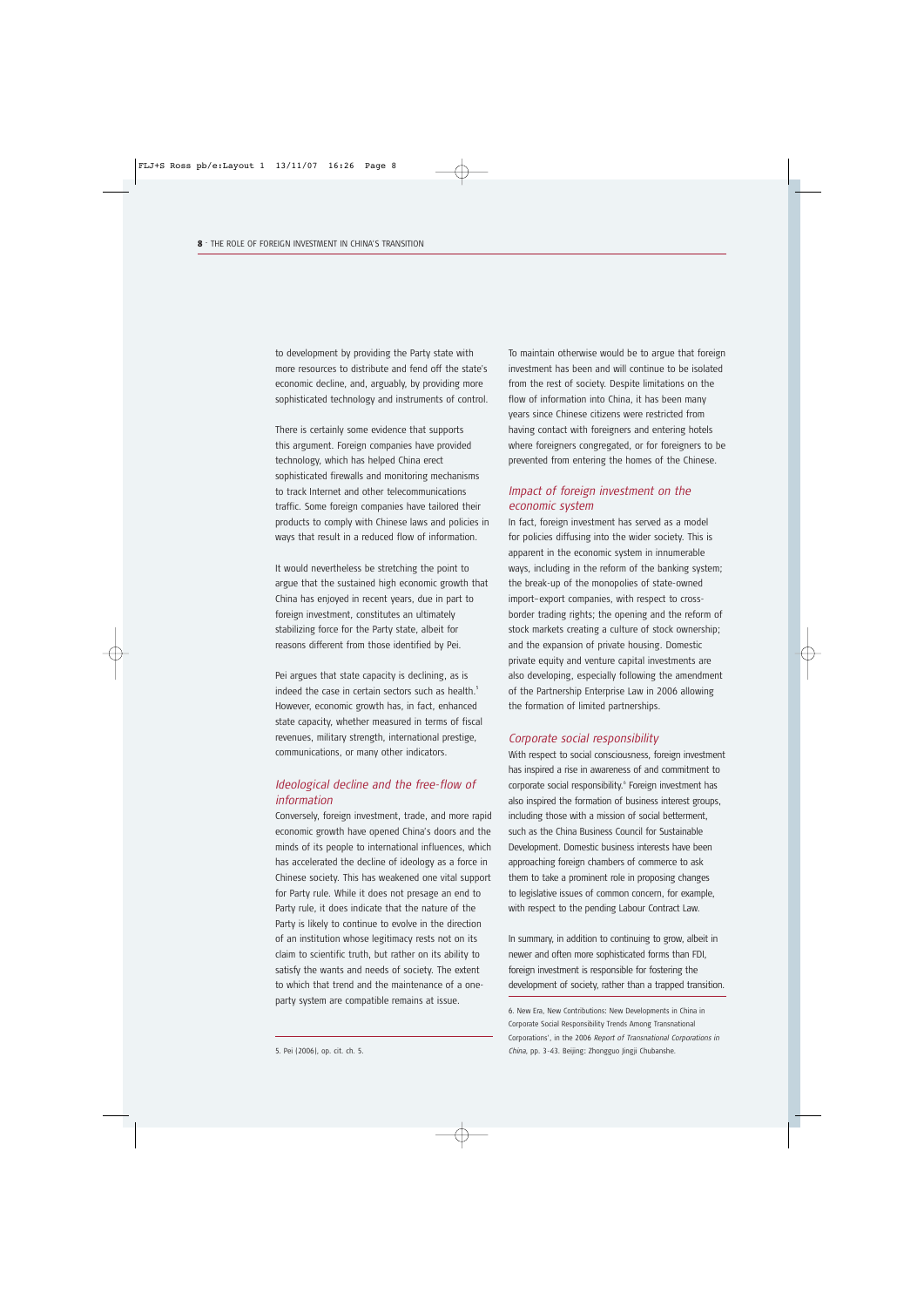to development by providing the Party state with more resources to distribute and fend off the state's economic decline, and, arguably, by providing more sophisticated technology and instruments of control.

There is certainly some evidence that supports this argument. Foreign companies have provided technology, which has helped China erect sophisticated firewalls and monitoring mechanisms to track Internet and other telecommunications traffic. Some foreign companies have tailored their products to comply with Chinese laws and policies in ways that result in a reduced flow of information.

It would nevertheless be stretching the point to argue that the sustained high economic growth that China has enjoyed in recent years, due in part to foreign investment, constitutes an ultimately stabilizing force for the Party state, albeit for reasons different from those identified by Pei.

Pei argues that state capacity is declining, as is indeed the case in certain sectors such as health.<sup>5</sup> However, economic growth has, in fact, enhanced state capacity, whether measured in terms of fiscal revenues, military strength, international prestige, communications, or many other indicators.

### *Ideological decline and the free-flow of information*

Conversely, foreign investment, trade, and more rapid economic growth have opened China's doors and the minds of its people to international influences, which has accelerated the decline of ideology as a force in Chinese society. This has weakened one vital support for Party rule. While it does not presage an end to Party rule, it does indicate that the nature of the Party is likely to continue to evolve in the direction of an institution whose legitimacy rests not on its claim to scientific truth, but rather on its ability to satisfy the wants and needs of society. The extent to which that trend and the maintenance of a oneparty system are compatible remains at issue.

To maintain otherwise would be to argue that foreign investment has been and will continue to be isolated from the rest of society. Despite limitations on the flow of information into China, it has been many years since Chinese citizens were restricted from having contact with foreigners and entering hotels where foreigners congregated, or for foreigners to be prevented from entering the homes of the Chinese.

## *Impact of foreign investment on the economic system*

In fact, foreign investment has served as a model for policies diffusing into the wider society. This is apparent in the economic system in innumerable ways, including in the reform of the banking system; the break-up of the monopolies of state-owned import–export companies, with respect to crossborder trading rights; the opening and the reform of stock markets creating a culture of stock ownership; and the expansion of private housing. Domestic private equity and venture capital investments are also developing, especially following the amendment of the Partnership Enterprise Law in 2006 allowing the formation of limited partnerships.

#### *Corporate social responsibility*

With respect to social consciousness, foreign investment has inspired a rise in awareness of and commitment to corporate social responsibility.<sup>6</sup> Foreign investment has also inspired the formation of business interest groups, including those with a mission of social betterment, such as the China Business Council for Sustainable Development. Domestic business interests have been approaching foreign chambers of commerce to ask them to take a prominent role in proposing changes to legislative issues of common concern, for example, with respect to the pending Labour Contract Law.

In summary, in addition to continuing to grow, albeit in newer and often more sophisticated forms than FDI, foreign investment is responsible for fostering the development of society, rather than a trapped transition.

6. New Era, New Contributions: New Developments in China in Corporate Social Responsibility Trends Among Transnational Corporations', in the 2006 *Report of Transnational Corporations in China*, pp. 3-43. Beijing: Zhongguo Jingji Chubanshe.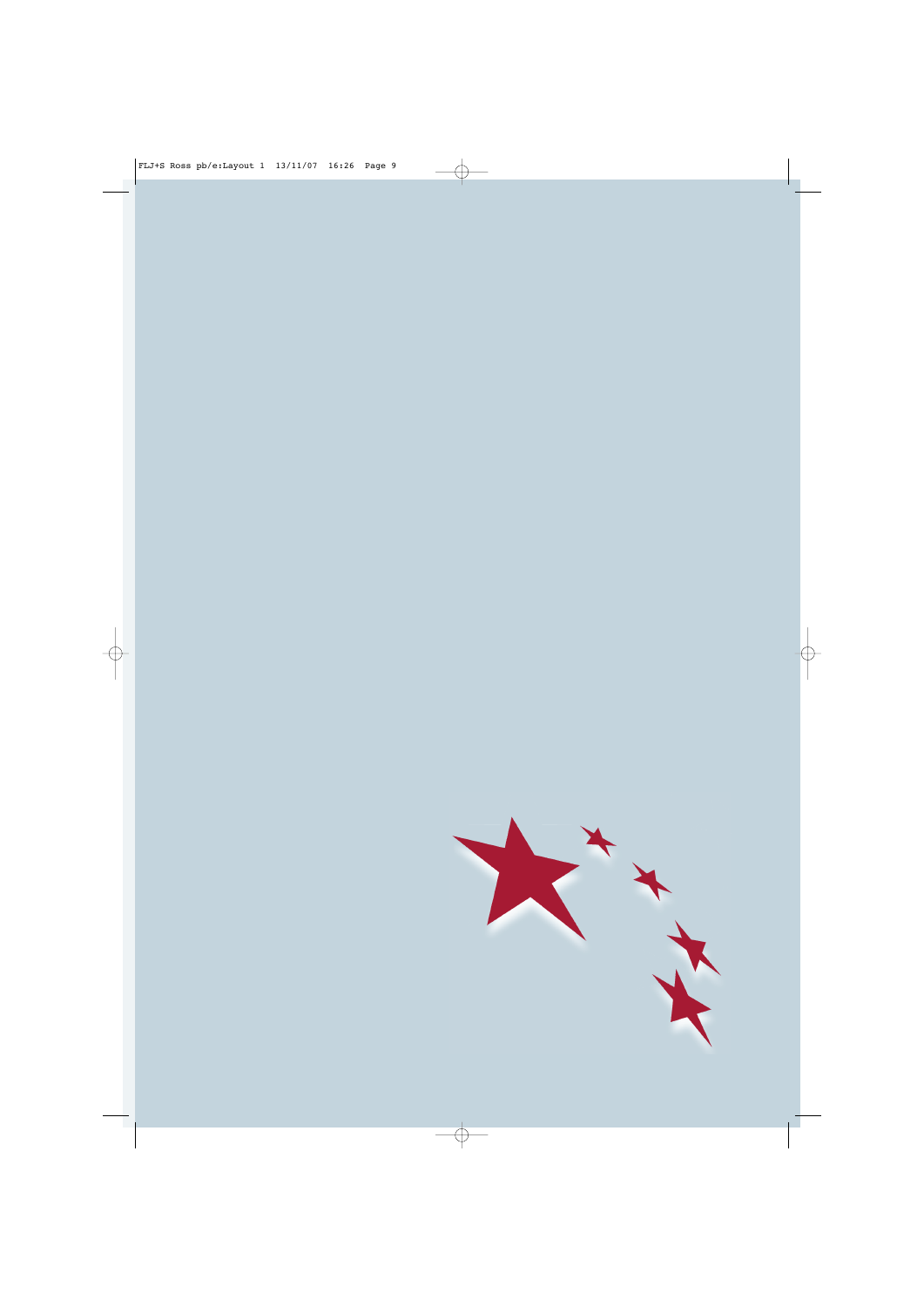